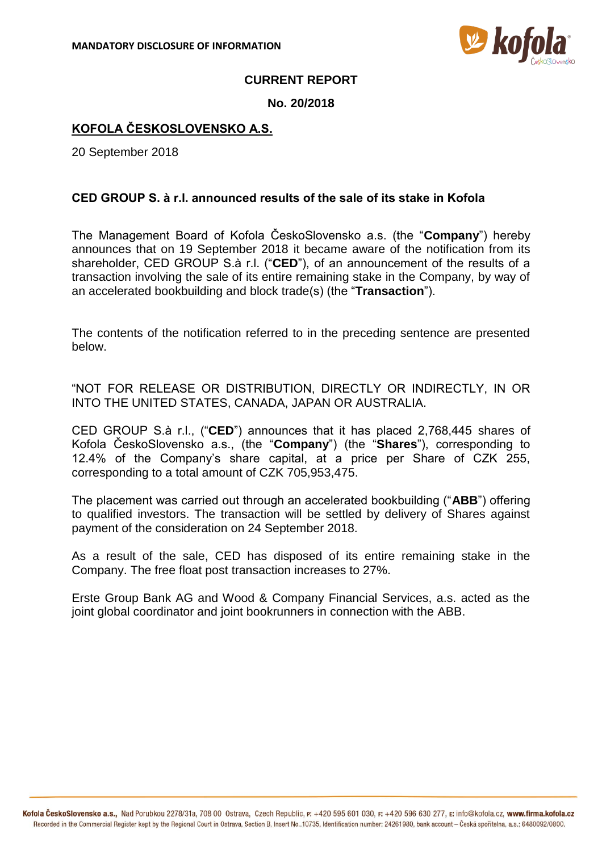

## **CURRENT REPORT**

### **No. 20/2018**

# **KOFOLA ČESKOSLOVENSKO A.S.**

20 September 2018

## **CED GROUP S. à r.l. announced results of the sale of its stake in Kofola**

The Management Board of Kofola ČeskoSlovensko a.s. (the "**Company**") hereby announces that on 19 September 2018 it became aware of the notification from its shareholder, CED GROUP S.à r.l. ("**CED**"), of an announcement of the results of a transaction involving the sale of its entire remaining stake in the Company, by way of an accelerated bookbuilding and block trade(s) (the "**Transaction**").

The contents of the notification referred to in the preceding sentence are presented below.

"NOT FOR RELEASE OR DISTRIBUTION, DIRECTLY OR INDIRECTLY, IN OR INTO THE UNITED STATES, CANADA, JAPAN OR AUSTRALIA.

CED GROUP S.à r.l., ("**CED**") announces that it has placed 2,768,445 shares of Kofola ČeskoSlovensko a.s., (the "**Company**") (the "**Shares**"), corresponding to 12.4% of the Company's share capital, at a price per Share of CZK 255, corresponding to a total amount of CZK 705,953,475.

The placement was carried out through an accelerated bookbuilding ("**ABB**") offering to qualified investors. The transaction will be settled by delivery of Shares against payment of the consideration on 24 September 2018.

As a result of the sale, CED has disposed of its entire remaining stake in the Company. The free float post transaction increases to 27%.

Erste Group Bank AG and Wood & Company Financial Services, a.s. acted as the joint global coordinator and joint bookrunners in connection with the ABB.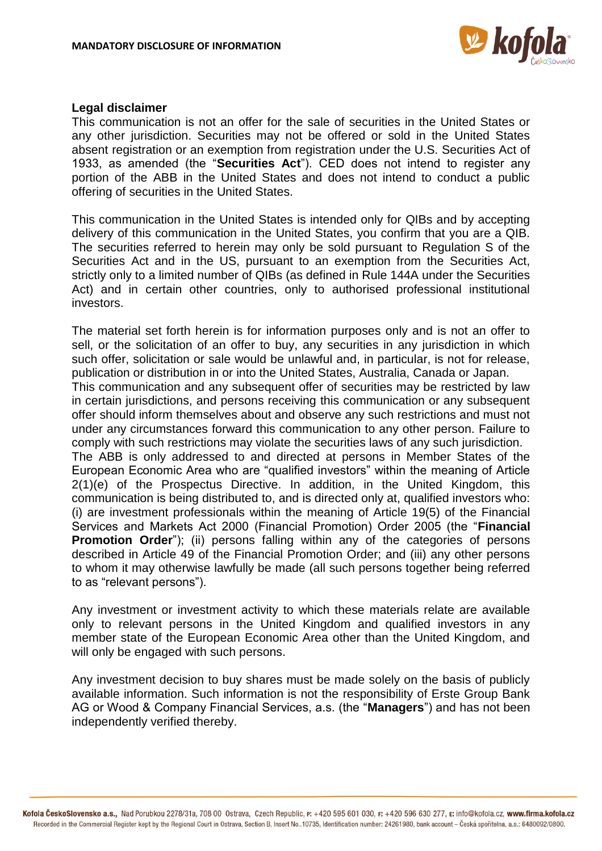

#### **Legal disclaimer**

This communication is not an offer for the sale of securities in the United States or any other jurisdiction. Securities may not be offered or sold in the United States absent registration or an exemption from registration under the U.S. Securities Act of 1933, as amended (the "**Securities Act**"). CED does not intend to register any portion of the ABB in the United States and does not intend to conduct a public offering of securities in the United States.

This communication in the United States is intended only for QIBs and by accepting delivery of this communication in the United States, you confirm that you are a QIB. The securities referred to herein may only be sold pursuant to Regulation S of the Securities Act and in the US, pursuant to an exemption from the Securities Act, strictly only to a limited number of QIBs (as defined in Rule 144A under the Securities Act) and in certain other countries, only to authorised professional institutional investors.

The material set forth herein is for information purposes only and is not an offer to sell, or the solicitation of an offer to buy, any securities in any jurisdiction in which such offer, solicitation or sale would be unlawful and, in particular, is not for release, publication or distribution in or into the United States, Australia, Canada or Japan.

This communication and any subsequent offer of securities may be restricted by law in certain jurisdictions, and persons receiving this communication or any subsequent offer should inform themselves about and observe any such restrictions and must not under any circumstances forward this communication to any other person. Failure to comply with such restrictions may violate the securities laws of any such jurisdiction.

The ABB is only addressed to and directed at persons in Member States of the European Economic Area who are "qualified investors" within the meaning of Article 2(1)(e) of the Prospectus Directive. In addition, in the United Kingdom, this communication is being distributed to, and is directed only at, qualified investors who: (i) are investment professionals within the meaning of Article 19(5) of the Financial Services and Markets Act 2000 (Financial Promotion) Order 2005 (the "**Financial Promotion Order**"); (ii) persons falling within any of the categories of persons described in Article 49 of the Financial Promotion Order; and (iii) any other persons to whom it may otherwise lawfully be made (all such persons together being referred to as "relevant persons").

Any investment or investment activity to which these materials relate are available only to relevant persons in the United Kingdom and qualified investors in any member state of the European Economic Area other than the United Kingdom, and will only be engaged with such persons.

Any investment decision to buy shares must be made solely on the basis of publicly available information. Such information is not the responsibility of Erste Group Bank AG or Wood & Company Financial Services, a.s. (the "**Managers**") and has not been independently verified thereby.